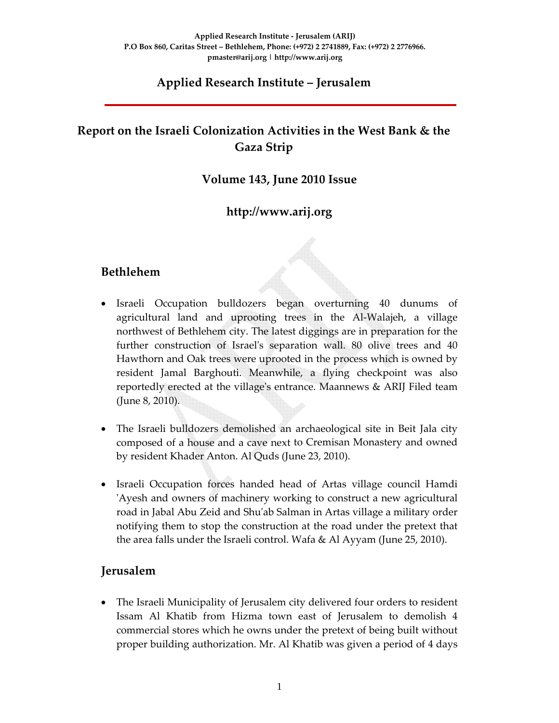### **Applied Research Institute – Jerusalem**

# **Report on the Israeli Colonization Activities in the West Bank & the Gaza Strip**

### **Volume 143, June 2010 Issue**

### **http://www.arij.org**

### **Bethlehem**

- Israeli Occupation bulldozers began overturning 40 dunums of agricultural land and uprooting trees in the Al‐Walajeh, a village northwest of Bethlehem city. The latest diggings are in preparation for the further construction of Israel's separation wall. 80 olive trees and 40 Hawthorn and Oak trees were uprooted in the process which is owned by resident Jamal Barghouti. Meanwhile, a flying checkpoint was also reportedly erected at the villageʹs entrance. Maannews & ARIJ Filed team (June 8, 2010).
- The Israeli bulldozers demolished an archaeological site in Beit Jala city composed of a house and a cave next to Cremisan Monastery and owned by resident Khader Anton. Al Quds (June 23, 2010).
- Israeli Occupation forces handed head of Artas village council Hamdi ʹAyesh and owners of machinery working to construct a new agricultural road in Jabal Abu Zeid and Shuʹab Salman in Artas village a military order notifying them to stop the construction at the road under the pretext that the area falls under the Israeli control. Wafa & Al Ayyam (June 25, 2010).

### **Jerusalem**

• The Israeli Municipality of Jerusalem city delivered four orders to resident Issam Al Khatib from Hizma town east of Jerusalem to demolish 4 commercial stores which he owns under the pretext of being built without proper building authorization. Mr. Al Khatib was given a period of 4 days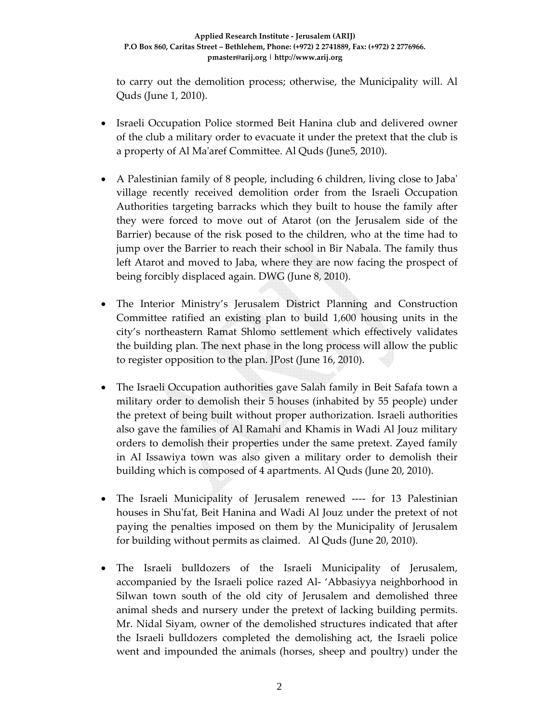to carry out the demolition process; otherwise, the Municipality will. Al Quds (June 1, 2010).

- Israeli Occupation Police stormed Beit Hanina club and delivered owner of the club a military order to evacuate it under the pretext that the club is a property of Al Maʹaref Committee. Al Quds (June5, 2010).
- A Palestinian family of 8 people, including 6 children, living close to Jaba' village recently received demolition order from the Israeli Occupation Authorities targeting barracks which they built to house the family after they were forced to move out of Atarot (on the Jerusalem side of the Barrier) because of the risk posed to the children, who at the time had to jump over the Barrier to reach their school in Bir Nabala. The family thus left Atarot and moved to Jaba, where they are now facing the prospect of being forcibly displaced again. DWG (June 8, 2010).
- The Interior Ministry's Jerusalem District Planning and Construction Committee ratified an existing plan to build 1,600 housing units in the city's northeastern Ramat Shlomo settlement which effectively validates the building plan. The next phase in the long process will allow the public to register opposition to the plan. JPost (June 16, 2010).
- The Israeli Occupation authorities gave Salah family in Beit Safafa town a military order to demolish their 5 houses (inhabited by 55 people) under the pretext of being built without proper authorization. Israeli authorities also gave the families of Al Ramahi and Khamis in Wadi Al Jouz military orders to demolish their properties under the same pretext. Zayed family in Al Issawiya town was also given a military order to demolish their building which is composed of 4 apartments. Al Quds (June 20, 2010).
- The Israeli Municipality of Jerusalem renewed ‐‐‐‐ for 13 Palestinian houses in Shuʹfat, Beit Hanina and Wadi Al Jouz under the pretext of not paying the penalties imposed on them by the Municipality of Jerusalem for building without permits as claimed. Al Quds (June 20, 2010).
- The Israeli bulldozers of the Israeli Municipality of Jerusalem, accompanied by the Israeli police razed Al‐ 'Abbasiyya neighborhood in Silwan town south of the old city of Jerusalem and demolished three animal sheds and nursery under the pretext of lacking building permits. Mr. Nidal Siyam, owner of the demolished structures indicated that after the Israeli bulldozers completed the demolishing act, the Israeli police went and impounded the animals (horses, sheep and poultry) under the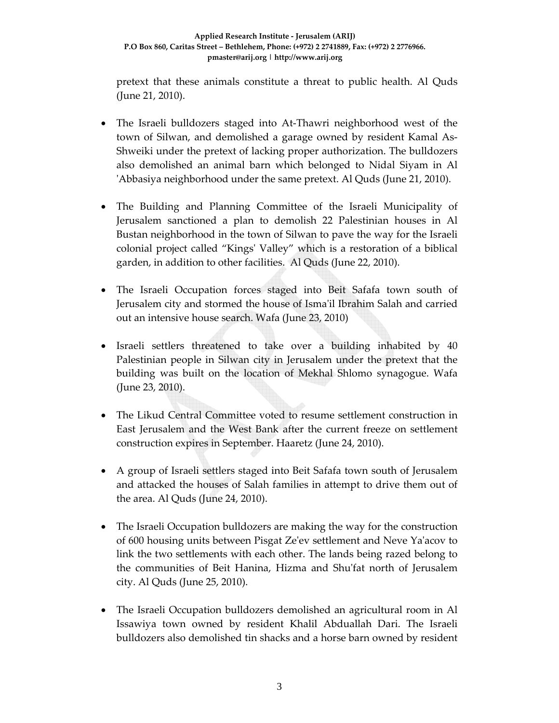pretext that these animals constitute a threat to public health. Al Quds (June 21, 2010).

- The Israeli bulldozers staged into At-Thawri neighborhood west of the town of Silwan, and demolished a garage owned by resident Kamal As‐ Shweiki under the pretext of lacking proper authorization. The bulldozers also demolished an animal barn which belonged to Nidal Siyam in Al ʹAbbasiya neighborhood under the same pretext. Al Quds (June 21, 2010).
- The Building and Planning Committee of the Israeli Municipality of Jerusalem sanctioned a plan to demolish 22 Palestinian houses in Al Bustan neighborhood in the town of Silwan to pave the way for the Israeli colonial project called "Kingsʹ Valley" which is a restoration of a biblical garden, in addition to other facilities. Al Quds (June 22, 2010).
- The Israeli Occupation forces staged into Beit Safafa town south of Jerusalem city and stormed the house of Ismaʹil Ibrahim Salah and carried out an intensive house search. Wafa (June 23, 2010)
- Israeli settlers threatened to take over a building inhabited by 40 Palestinian people in Silwan city in Jerusalem under the pretext that the building was built on the location of Mekhal Shlomo synagogue. Wafa (June 23, 2010).
- The Likud Central Committee voted to resume settlement construction in East Jerusalem and the West Bank after the current freeze on settlement construction expires in September. Haaretz (June 24, 2010).
- A group of Israeli settlers staged into Beit Safafa town south of Jerusalem and attacked the houses of Salah families in attempt to drive them out of the area. Al Quds (June 24, 2010).
- The Israeli Occupation bulldozers are making the way for the construction of 600 housing units between Pisgat Zeʹev settlement and Neve Yaʹacov to link the two settlements with each other. The lands being razed belong to the communities of Beit Hanina, Hizma and Shuʹfat north of Jerusalem city. Al Quds (June 25, 2010).
- The Israeli Occupation bulldozers demolished an agricultural room in Al Issawiya town owned by resident Khalil Abduallah Dari. The Israeli bulldozers also demolished tin shacks and a horse barn owned by resident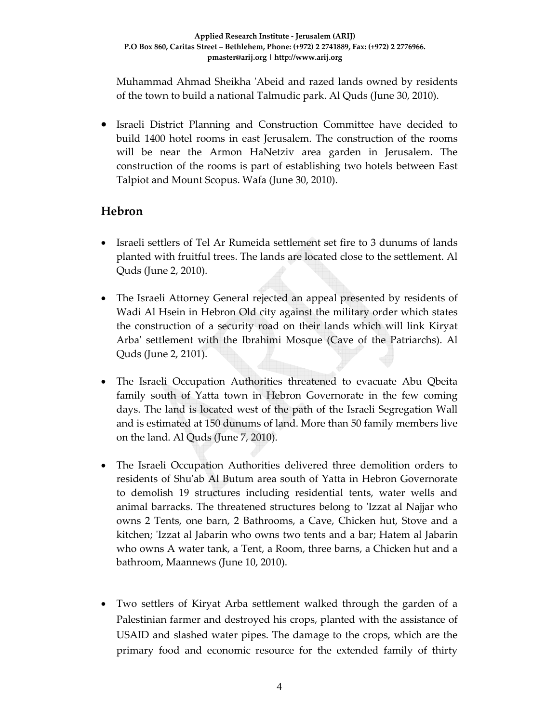Muhammad Ahmad Sheikha ʹAbeid and razed lands owned by residents of the town to build a national Talmudic park. Al Quds (June 30, 2010).

• Israeli District Planning and Construction Committee have decided to build 1400 hotel rooms in east Jerusalem. The construction of the rooms will be near the Armon HaNetziv area garden in Jerusalem. The construction of the rooms is part of establishing two hotels between East Talpiot and Mount Scopus. Wafa (June 30, 2010).

# **Hebron**

- Israeli settlers of Tel Ar Rumeida settlement set fire to 3 dunums of lands planted with fruitful trees. The lands are located close to the settlement. Al Quds (June 2, 2010).
- The Israeli Attorney General rejected an appeal presented by residents of Wadi Al Hsein in Hebron Old city against the military order which states the construction of a security road on their lands which will link Kiryat Arbaʹ settlement with the Ibrahimi Mosque (Cave of the Patriarchs). Al Quds (June 2, 2101).
- The Israeli Occupation Authorities threatened to evacuate Abu Qbeita family south of Yatta town in Hebron Governorate in the few coming days. The land is located west of the path of the Israeli Segregation Wall and is estimated at 150 dunums of land. More than 50 family members live on the land. Al Quds (June 7, 2010).
- The Israeli Occupation Authorities delivered three demolition orders to residents of Shuʹab Al Butum area south of Yatta in Hebron Governorate to demolish 19 structures including residential tents, water wells and animal barracks. The threatened structures belong to ʹIzzat al Najjar who owns 2 Tents, one barn, 2 Bathrooms, a Cave, Chicken hut, Stove and a kitchen; ʹIzzat al Jabarin who owns two tents and a bar; Hatem al Jabarin who owns A water tank, a Tent, a Room, three barns, a Chicken hut and a bathroom, Maannews (June 10, 2010).
- Two settlers of Kiryat Arba settlement walked through the garden of a Palestinian farmer and destroyed his crops, planted with the assistance of USAID and slashed water pipes. The damage to the crops, which are the primary food and economic resource for the extended family of thirty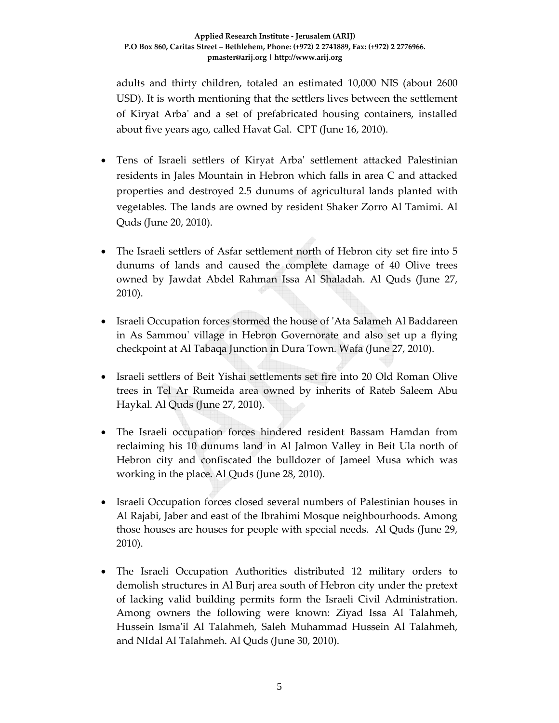adults and thirty children, totaled an estimated 10,000 NIS (about 2600 USD). It is worth mentioning that the settlers lives between the settlement of Kiryat Arbaʹ and a set of prefabricated housing containers, installed about five years ago, called Havat Gal. CPT (June 16, 2010).

- Tens of Israeli settlers of Kiryat Arbaʹ settlement attacked Palestinian residents in Jales Mountain in Hebron which falls in area C and attacked properties and destroyed 2.5 dunums of agricultural lands planted with vegetables. The lands are owned by resident Shaker Zorro Al Tamimi. Al Quds (June 20, 2010).
- The Israeli settlers of Asfar settlement north of Hebron city set fire into 5 dunums of lands and caused the complete damage of 40 Olive trees owned by Jawdat Abdel Rahman Issa Al Shaladah. Al Quds (June 27, 2010).
- Israeli Occupation forces stormed the house of 'Ata Salameh Al Baddareen in As Sammouʹ village in Hebron Governorate and also set up a flying checkpoint at Al Tabaqa Junction in Dura Town. Wafa (June 27, 2010).
- Israeli settlers of Beit Yishai settlements set fire into 20 Old Roman Olive trees in Tel Ar Rumeida area owned by inherits of Rateb Saleem Abu Haykal. Al Quds (June 27, 2010).
- The Israeli occupation forces hindered resident Bassam Hamdan from reclaiming his 10 dunums land in Al Jalmon Valley in Beit Ula north of Hebron city and confiscated the bulldozer of Jameel Musa which was working in the place. Al Quds (June 28, 2010).
- Israeli Occupation forces closed several numbers of Palestinian houses in Al Rajabi, Jaber and east of the Ibrahimi Mosque neighbourhoods. Among those houses are houses for people with special needs. Al Quds (June 29, 2010).
- The Israeli Occupation Authorities distributed 12 military orders to demolish structures in Al Burj area south of Hebron city under the pretext of lacking valid building permits form the Israeli Civil Administration. Among owners the following were known: Ziyad Issa Al Talahmeh, Hussein Ismaʹil Al Talahmeh, Saleh Muhammad Hussein Al Talahmeh, and NIdal Al Talahmeh. Al Quds (June 30, 2010).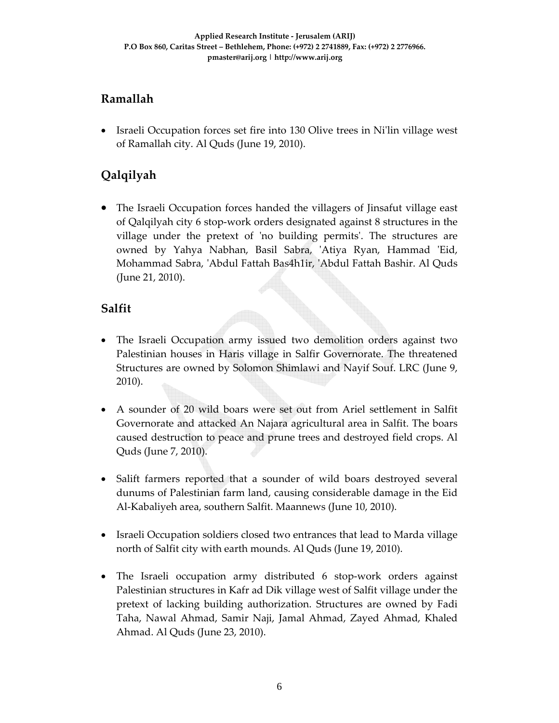# **Ramallah**

• Israeli Occupation forces set fire into 130 Olive trees in Ni'lin village west of Ramallah city. Al Quds (June 19, 2010).

# **Qalqilyah**

• The Israeli Occupation forces handed the villagers of Jinsafut village east of Qalqilyah city 6 stop‐work orders designated against 8 structures in the village under the pretext of 'no building permits'. The structures are owned by Yahya Nabhan, Basil Sabra, 'Atiya Ryan, Hammad 'Eid, Mohammad Sabra, ʹAbdul Fattah Bas4h1ir, ʹAbdul Fattah Bashir. Al Quds (June 21, 2010).

# **Salfit**

- The Israeli Occupation army issued two demolition orders against two Palestinian houses in Haris village in Salfir Governorate. The threatened Structures are owned by Solomon Shimlawi and Nayif Souf. LRC (June 9, 2010).
- A sounder of 20 wild boars were set out from Ariel settlement in Salfit Governorate and attacked An Najara agricultural area in Salfit. The boars caused destruction to peace and prune trees and destroyed field crops. Al Quds (June 7, 2010).
- Salift farmers reported that a sounder of wild boars destroyed several dunums of Palestinian farm land, causing considerable damage in the Eid Al‐Kabaliyeh area, southern Salfit. Maannews (June 10, 2010).
- Israeli Occupation soldiers closed two entrances that lead to Marda village north of Salfit city with earth mounds. Al Quds (June 19, 2010).
- The Israeli occupation army distributed 6 stop-work orders against Palestinian structures in Kafr ad Dik village west of Salfit village under the pretext of lacking building authorization. Structures are owned by Fadi Taha, Nawal Ahmad, Samir Naji, Jamal Ahmad, Zayed Ahmad, Khaled Ahmad. Al Quds (June 23, 2010).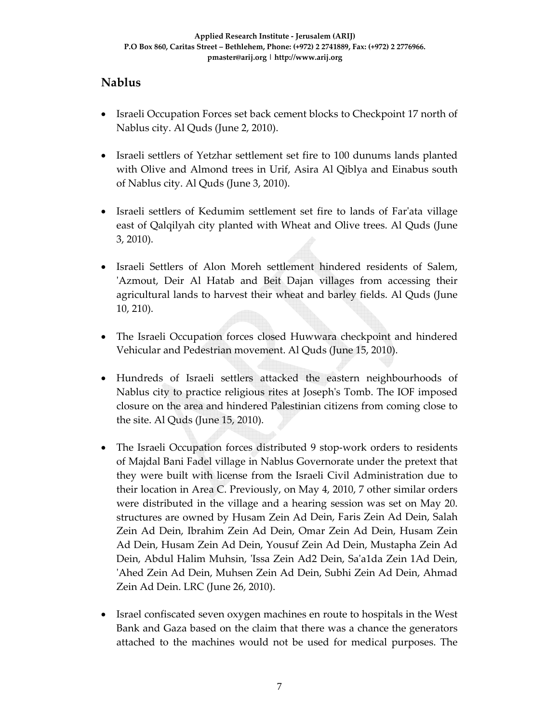# **Nablus**

- Israeli Occupation Forces set back cement blocks to Checkpoint 17 north of Nablus city. Al Quds (June 2, 2010).
- Israeli settlers of Yetzhar settlement set fire to 100 dunums lands planted with Olive and Almond trees in Urif, Asira Al Qiblya and Einabus south of Nablus city. Al Quds (June 3, 2010).
- Israeli settlers of Kedumim settlement set fire to lands of Farʹata village east of Qalqilyah city planted with Wheat and Olive trees. Al Quds (June 3, 2010).
- Israeli Settlers of Alon Moreh settlement hindered residents of Salem, 'Azmout, Deir Al Hatab and Beit Dajan villages from accessing their agricultural lands to harvest their wheat and barley fields. Al Quds (June 10, 210).
- The Israeli Occupation forces closed Huwwara checkpoint and hindered Vehicular and Pedestrian movement. Al Quds (June 15, 2010).
- Hundreds of Israeli settlers attacked the eastern neighbourhoods of Nablus city to practice religious rites at Josephʹs Tomb. The IOF imposed closure on the area and hindered Palestinian citizens from coming close to the site. Al Quds (June 15, 2010).
- The Israeli Occupation forces distributed 9 stop-work orders to residents of Majdal Bani Fadel village in Nablus Governorate under the pretext that they were built with license from the Israeli Civil Administration due to their location in Area C. Previously, on May 4, 2010, 7 other similar orders were distributed in the village and a hearing session was set on May 20. structures are owned by Husam Zein Ad Dein, Faris Zein Ad Dein, Salah Zein Ad Dein, Ibrahim Zein Ad Dein, Omar Zein Ad Dein, Husam Zein Ad Dein, Husam Zein Ad Dein, Yousuf Zein Ad Dein, Mustapha Zein Ad Dein, Abdul Halim Muhsin, ʹIssa Zein Ad2 Dein, Saʹa1da Zein 1Ad Dein, ʹAhed Zein Ad Dein, Muhsen Zein Ad Dein, Subhi Zein Ad Dein, Ahmad Zein Ad Dein. LRC (June 26, 2010).
- Israel confiscated seven oxygen machines en route to hospitals in the West Bank and Gaza based on the claim that there was a chance the generators attached to the machines would not be used for medical purposes. The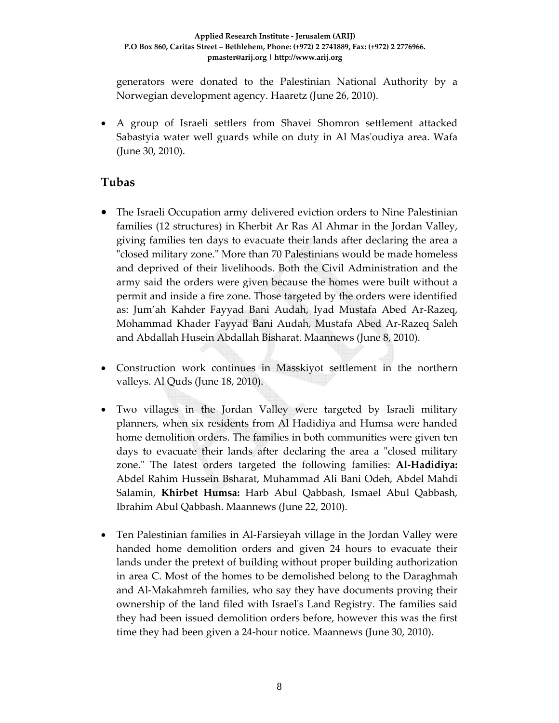generators were donated to the Palestinian National Authority by a Norwegian development agency. Haaretz (June 26, 2010).

• A group of Israeli settlers from Shavei Shomron settlement attacked Sabastyia water well guards while on duty in Al Masʹoudiya area. Wafa (June 30, 2010).

### **Tubas**

- The Israeli Occupation army delivered eviction orders to Nine Palestinian families (12 structures) in Kherbit Ar Ras Al Ahmar in the Jordan Valley, giving families ten days to evacuate their lands after declaring the area a "closed military zone." More than 70 Palestinians would be made homeless and deprived of their livelihoods. Both the Civil Administration and the army said the orders were given because the homes were built without a permit and inside a fire zone. Those targeted by the orders were identified as: Jum'ah Kahder Fayyad Bani Audah, Iyad Mustafa Abed Ar‐Razeq, Mohammad Khader Fayyad Bani Audah, Mustafa Abed Ar‐Razeq Saleh and Abdallah Husein Abdallah Bisharat. Maannews (June 8, 2010).
- Construction work continues in Masskiyot settlement in the northern valleys. Al Quds (June 18, 2010).
- Two villages in the Jordan Valley were targeted by Israeli military planners, when six residents from Al Hadidiya and Humsa were handed home demolition orders. The families in both communities were given ten days to evacuate their lands after declaring the area a "closed military zone.ʺ The latest orders targeted the following families: **Al‐Hadidiya:** Abdel Rahim Hussein Bsharat, Muhammad Ali Bani Odeh, Abdel Mahdi Salamin, **Khirbet Humsa:** Harb Abul Qabbash, Ismael Abul Qabbash, Ibrahim Abul Qabbash. Maannews (June 22, 2010).
- Ten Palestinian families in Al-Farsieyah village in the Jordan Valley were handed home demolition orders and given 24 hours to evacuate their lands under the pretext of building without proper building authorization in area C. Most of the homes to be demolished belong to the Daraghmah and Al‐Makahmreh families, who say they have documents proving their ownership of the land filed with Israelʹs Land Registry. The families said they had been issued demolition orders before, however this was the first time they had been given a 24‐hour notice. Maannews (June 30, 2010).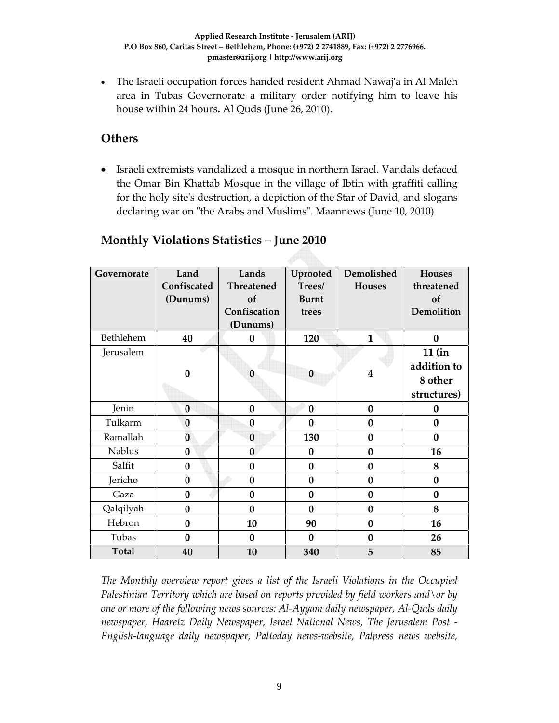• The Israeli occupation forces handed resident Ahmad Nawaj'a in Al Maleh area in Tubas Governorate a military order notifying him to leave his house within 24 hours**.** Al Quds (June 26, 2010).

### **Others**

• Israeli extremists vandalized a mosque in northern Israel. Vandals defaced the Omar Bin Khattab Mosque in the village of Ibtin with graffiti calling for the holy site's destruction, a depiction of the Star of David, and slogans declaring war on "the Arabs and Muslims". Maannews (June 10, 2010)

# **Monthly Violations Statistics – June 2010**

| Governorate  | Land<br>Confiscated<br>(Dunums) | Lands<br><b>Threatened</b><br>of<br>Confiscation<br>(Dunums) | Uprooted<br>Trees/<br><b>Burnt</b><br>trees | Demolished<br><b>Houses</b> | <b>Houses</b><br>threatened<br>of<br>Demolition   |
|--------------|---------------------------------|--------------------------------------------------------------|---------------------------------------------|-----------------------------|---------------------------------------------------|
| Bethlehem    | 40                              | $\bf{0}$                                                     | 120                                         | $\mathbf{1}$                | $\bf{0}$                                          |
| Jerusalem    | $\bf{0}$                        | $\bf{0}$                                                     | $\bf{0}$                                    | $\boldsymbol{4}$            | $11$ (in<br>addition to<br>8 other<br>structures) |
| Jenin        | $\bf{0}$                        | $\bf{0}$                                                     | $\bf{0}$                                    | $\bf{0}$                    | $\bf{0}$                                          |
| Tulkarm      | $\bf{0}$                        | $\bf{0}$                                                     | $\bf{0}$                                    | $\bf{0}$                    | $\bf{0}$                                          |
| Ramallah     | $\bf{0}$                        | $\bf{0}$                                                     | 130                                         | $\bf{0}$                    | $\bf{0}$                                          |
| Nablus       | $\bf{0}$                        | $\bf{0}$                                                     | $\bf{0}$                                    | $\bf{0}$                    | 16                                                |
| Salfit       | $\bf{0}$                        | $\bf{0}$                                                     | $\bf{0}$                                    | $\bf{0}$                    | 8                                                 |
| Jericho      | $\bf{0}$                        | $\bf{0}$                                                     | $\bf{0}$                                    | $\bf{0}$                    | $\bf{0}$                                          |
| Gaza         | $\bf{0}$                        | $\bf{0}$                                                     | 0                                           | $\bf{0}$                    | $\bf{0}$                                          |
| Qalqilyah    | $\bf{0}$                        | $\bf{0}$                                                     | $\bf{0}$                                    | $\bf{0}$                    | 8                                                 |
| Hebron       | $\bf{0}$                        | 10                                                           | 90                                          | $\bf{0}$                    | 16                                                |
| Tubas        | $\bf{0}$                        | $\bf{0}$                                                     | $\bf{0}$                                    | $\bf{0}$                    | 26                                                |
| <b>Total</b> | 40                              | 10                                                           | 340                                         | 5                           | 85                                                |

*The Monthly overview report gives a list of the Israeli Violations in the Occupied Palestinian Territory which are based on reports provided by field workers and\or by one or more of the following news sources: Al‐Ayyam daily newspaper, Al‐Quds daily newspaper, Haaretz Daily Newspaper, Israel National News, The Jerusalem Post ‐ English‐language daily newspaper, Paltoday news‐website, Palpress news website,*